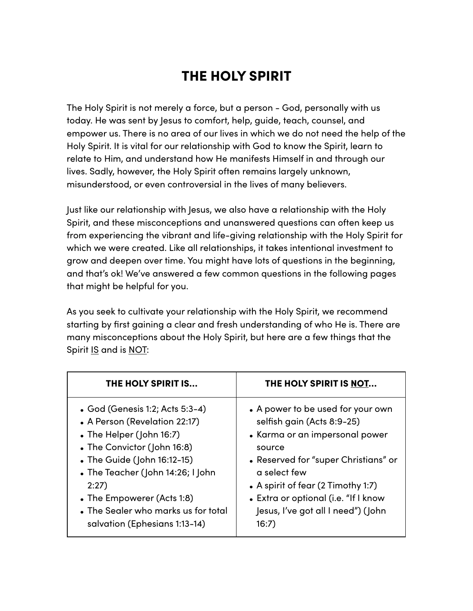# THE HOLY SPIRIT

The Holy Spirit is not merely a force, but a person - God, personally with us today. He was sent by Jesus to comfort, help, guide, teach, counsel, and empower us. There is no area of our lives in which we do not need the help of the Holy Spirit. It is vital for our relationship with God to know the Spirit, learn to relate to Him, and understand how He manifests Himself in and through our lives. Sadly, however, the Holy Spirit often remains largely unknown, misunderstood, or even controversial in the lives of many believers.

Just like our relationship with Jesus, we also have a relationship with the Holy Spirit, and these misconceptions and unanswered questions can often keep us from experiencing the vibrant and life-giving relationship with the Holy Spirit for which we were created. Like all relationships, it takes intentional investment to grow and deepen over time. You might have lots of questions in the beginning, and that's ok! We've answered a few common questions in the following pages that might be helpful for you.

As you seek to cultivate your relationship with the Holy Spirit, we recommend starting by first gaining a clear and fresh understanding of who He is. There are many misconceptions about the Holy Spirit, but here are a few things that the Spirit IS and is NOT:

| THE HOLY SPIRIT IS                  | THE HOLY SPIRIT IS NOT               |
|-------------------------------------|--------------------------------------|
| • God (Genesis 1:2; Acts 5:3-4)     | • A power to be used for your own    |
| • A Person (Revelation 22:17)       | selfish gain (Acts 8:9-25)           |
| • The Helper (John 16:7)            | • Karma or an impersonal power       |
| • The Convictor (John 16:8)         | source                               |
| • The Guide (John 16:12-15)         | • Reserved for "super Christians" or |
| • The Teacher (John 14:26; I John   | a select few                         |
| 2:27                                | • A spirit of fear (2 Timothy 1:7)   |
| • The Empowerer (Acts 1:8)          | • Extra or optional (i.e. "If I know |
| • The Sealer who marks us for total | Jesus, I've got all I need") (John   |
| salvation (Ephesians 1:13-14)       | 16:7)                                |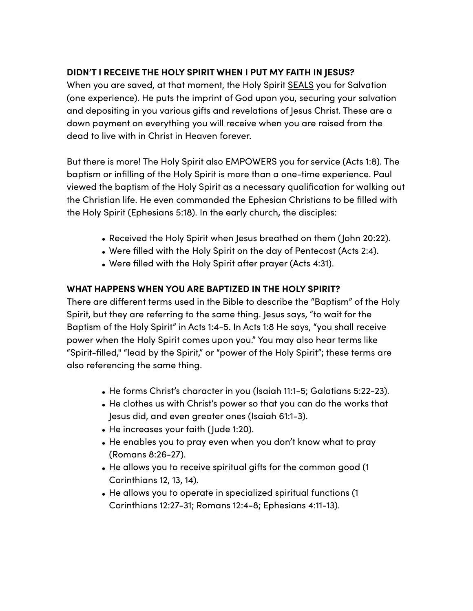### **DIDN'T I RECEIVE THE HOLY SPIRIT WHEN I PUT MY FAITH IN JESUS?**

When you are saved, at that moment, the Holy Spirit SEALS you for Salvation (one experience). He puts the imprint of God upon you, securing your salvation and depositing in you various gifts and revelations of Jesus Christ. These are a down payment on everything you will receive when you are raised from the dead to live with in Christ in Heaven forever.

But there is more! The Holy Spirit also EMPOWERS you for service (Acts 1:8). The baptism or infilling of the Holy Spirit is more than a one-time experience. Paul viewed the baptism of the Holy Spirit as a necessary qualification for walking out the Christian life. He even commanded the Ephesian Christians to be filled with the Holy Spirit (Ephesians 5:18). In the early church, the disciples:

- Received the Holy Spirit when Jesus breathed on them (John 20:22).
- Were filled with the Holy Spirit on the day of Pentecost (Acts 2:4).
- Were filled with the Holy Spirit after prayer (Acts 4:31).

#### **WHAT HAPPENS WHEN YOU ARE BAPTIZED IN THE HOLY SPIRIT?**

There are diferent terms used in the Bible to describe the "Baptism" of the Holy Spirit, but they are referring to the same thing. Jesus says, "to wait for the Baptism of the Holy Spirit" in Acts 1:4-5. In Acts 1:8 He says, "you shall receive power when the Holy Spirit comes upon you." You may also hear terms like "Spirit-filled," "lead by the Spirit," or "power of the Holy Spirit"; these terms are also referencing the same thing.

- He forms Christ's character in you (Isaiah 11:1-5; Galatians 5:22-23).
- He clothes us with Christ's power so that you can do the works that Jesus did, and even greater ones (Isaiah 61:1-3).
- He increases your faith (Jude 1:20).
- He enables you to pray even when you don't know what to pray (Romans 8:26-27).
- He allows you to receive spiritual gifts for the common good (1 Corinthians 12, 13, 14).
- He allows you to operate in specialized spiritual functions (1 Corinthians 12:27-31; Romans 12:4-8; Ephesians 4:11-13).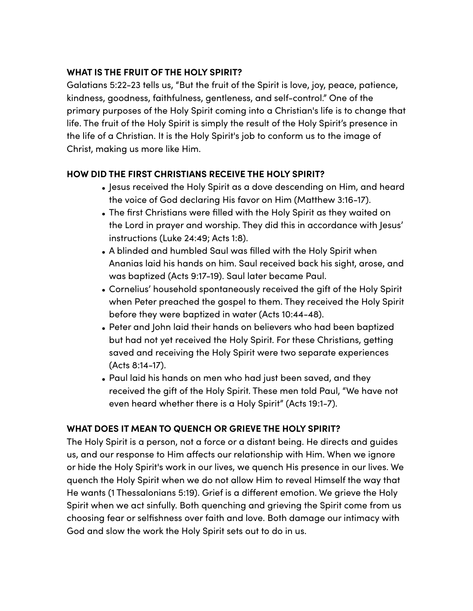### **WHAT IS THE FRUIT OF THE HOLY SPIRIT?**

Galatians 5:22-23 tells us, "But the fruit of the Spirit is love, joy, peace, patience, kindness, goodness, faithfulness, gentleness, and self-control." One of the primary purposes of the Holy Spirit coming into a Christian's life is to change that life. The fruit of the Holy Spirit is simply the result of the Holy Spirit's presence in the life of a Christian. It is the Holy Spirit's job to conform us to the image of Christ, making us more like Him.

# **HOW DID THE FIRST CHRISTIANS RECEIVE THE HOLY SPIRIT?**

- Jesus received the Holy Spirit as a dove descending on Him, and heard the voice of God declaring His favor on Him (Matthew 3:16-17).
- The first Christians were filled with the Holy Spirit as they waited on the Lord in prayer and worship. They did this in accordance with Jesus' instructions (Luke 24:49; Acts 1:8).
- A blinded and humbled Saul was filled with the Holy Spirit when Ananias laid his hands on him. Saul received back his sight, arose, and was baptized (Acts 9:17-19). Saul later became Paul.
- Cornelius' household spontaneously received the gift of the Holy Spirit when Peter preached the gospel to them. They received the Holy Spirit before they were baptized in water (Acts 10:44-48).
- Peter and John laid their hands on believers who had been baptized but had not yet received the Holy Spirit. For these Christians, getting saved and receiving the Holy Spirit were two separate experiences (Acts 8:14-17).
- Paul laid his hands on men who had just been saved, and they received the gift of the Holy Spirit. These men told Paul, "We have not even heard whether there is a Holy Spirit" (Acts 19:1-7).

# **WHAT DOES IT MEAN TO QUENCH OR GRIEVE THE HOLY SPIRIT?**

The Holy Spirit is a person, not a force or a distant being. He directs and guides us, and our response to Him afects our relationship with Him. When we ignore or hide the Holy Spirit's work in our lives, we quench His presence in our lives. We quench the Holy Spirit when we do not allow Him to reveal Himself the way that He wants (1 Thessalonians 5:19). Grief is a diferent emotion. We grieve the Holy Spirit when we act sinfully. Both quenching and grieving the Spirit come from us choosing fear or selfishness over faith and love. Both damage our intimacy with God and slow the work the Holy Spirit sets out to do in us.